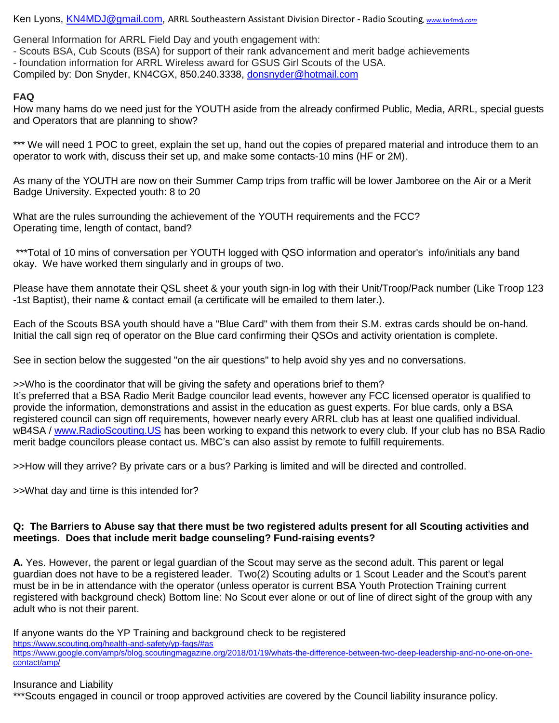Ken Lyons, [KN4MDJ@gmail.com,](mailto:KN4MDJ@gmail.com) ARRL Southeastern Assistant Division Director - Radio Scouting*, [www.kn4mdj.com](http://www.kn4mdj.com/)*

General Information for ARRL Field Day and youth engagement with:

- Scouts BSA, Cub Scouts (BSA) for support of their rank advancement and merit badge achievements - foundation information for ARRL Wireless award for GSUS Girl Scouts of the USA.

Compiled by: Don Snyder, KN4CGX, 850.240.3338, [donsnyder@hotmail.com](mailto:donsnyder@hotmail.com)

## **FAQ**

How many hams do we need just for the YOUTH aside from the already confirmed Public, Media, ARRL, special guests and Operators that are planning to show?

\*\*\* We will need 1 POC to greet, explain the set up, hand out the copies of prepared material and introduce them to an operator to work with, discuss their set up, and make some contacts-10 mins (HF or 2M).

As many of the YOUTH are now on their Summer Camp trips from traffic will be lower Jamboree on the Air or a Merit Badge University. Expected youth: 8 to 20

What are the rules surrounding the achievement of the YOUTH requirements and the FCC? Operating time, length of contact, band?

\*\*\*Total of 10 mins of conversation per YOUTH logged with QSO information and operator's info/initials any band okay. We have worked them singularly and in groups of two.

Please have them annotate their QSL sheet & your youth sign-in log with their Unit/Troop/Pack number (Like Troop 123 -1st Baptist), their name & contact email (a certificate will be emailed to them later.).

Each of the Scouts BSA youth should have a "Blue Card" with them from their S.M. extras cards should be on-hand. Initial the call sign req of operator on the Blue card confirming their QSOs and activity orientation is complete.

See in section below the suggested "on the air questions" to help avoid shy yes and no conversations.

>>Who is the coordinator that will be giving the safety and operations brief to them?

It's preferred that a BSA Radio Merit Badge councilor lead events, however any FCC licensed operator is qualified to provide the information, demonstrations and assist in the education as guest experts. For blue cards, only a BSA registered council can sign off requirements, however nearly every ARRL club has at least one qualified individual. wB4SA / [www.RadioScouting.US](http://www.radioscouting.us/) has been working to expand this network to every club. If your club has no BSA Radio merit badge councilors please contact us. MBC's can also assist by remote to fulfill requirements.

>>How will they arrive? By private cars or a bus? Parking is limited and will be directed and controlled.

>>What day and time is this intended for?

### **Q: The Barriers to Abuse say that there must be two registered adults present for all Scouting activities and meetings. Does that include merit badge counseling? Fund-raising events?**

**A.** Yes. However, the parent or legal guardian of the Scout may serve as the second adult. This parent or legal guardian does not have to be a registered leader. Two(2) Scouting adults or 1 Scout Leader and the Scout's parent must be in be in attendance with the operator (unless operator is current BSA Youth Protection Training current registered with background check) Bottom line: No Scout ever alone or out of line of direct sight of the group with any adult who is not their parent.

If anyone wants do the YP Training and background check to be registered <https://www.scouting.org/health-and-safety/yp-faqs/#as> [https://www.google.com/amp/s/blog.scoutingmagazine.org/2018/01/19/whats-the-difference-between-two-deep-leadership-and-no-one-on-one](https://www.google.com/amp/s/blog.scoutingmagazine.org/2018/01/19/whats-the-difference-between-two-deep-leadership-and-no-one-on-one-contact/amp/)[contact/amp/](https://www.google.com/amp/s/blog.scoutingmagazine.org/2018/01/19/whats-the-difference-between-two-deep-leadership-and-no-one-on-one-contact/amp/)

### Insurance and Liability

\*\*\*Scouts engaged in council or troop approved activities are covered by the Council liability insurance policy.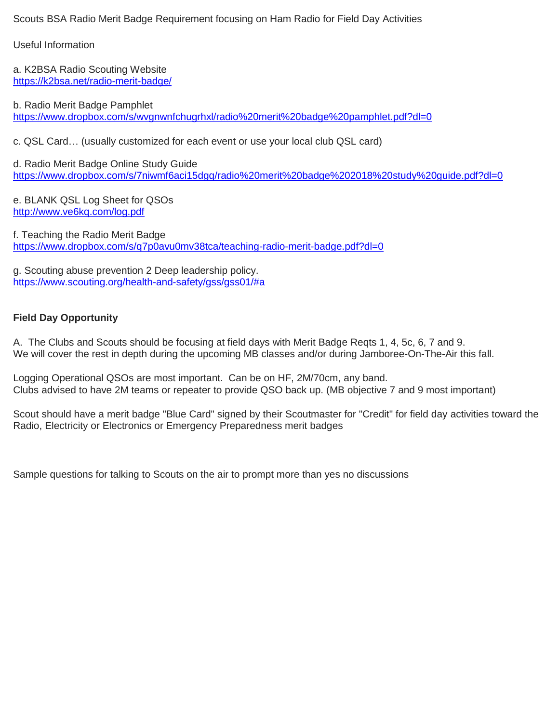Scouts BSA Radio Merit Badge Requirement focusing on Ham Radio for Field Day Activities

Useful Information

a. K2BSA Radio Scouting Website <https://k2bsa.net/radio-merit-badge/>

b. Radio Merit Badge Pamphlet <https://www.dropbox.com/s/wvgnwnfchugrhxl/radio%20merit%20badge%20pamphlet.pdf?dl=0>

c. QSL Card… (usually customized for each event or use your local club QSL card)

d. Radio Merit Badge Online Study Guide <https://www.dropbox.com/s/7niwmf6aci15dgq/radio%20merit%20badge%202018%20study%20guide.pdf?dl=0>

e. BLANK QSL Log Sheet for QSOs <http://www.ve6kq.com/log.pdf>

f. Teaching the Radio Merit Badge <https://www.dropbox.com/s/q7p0avu0mv38tca/teaching-radio-merit-badge.pdf?dl=0>

g. Scouting abuse prevention 2 Deep leadership policy. <https://www.scouting.org/health-and-safety/gss/gss01/#a>

## **Field Day Opportunity**

A. The Clubs and Scouts should be focusing at field days with Merit Badge Reqts 1, 4, 5c, 6, 7 and 9. We will cover the rest in depth during the upcoming MB classes and/or during Jamboree-On-The-Air this fall.

Logging Operational QSOs are most important. Can be on HF, 2M/70cm, any band. Clubs advised to have 2M teams or repeater to provide QSO back up. (MB objective 7 and 9 most important)

Scout should have a merit badge "Blue Card" signed by their Scoutmaster for "Credit" for field day activities toward the Radio, Electricity or Electronics or Emergency Preparedness merit badges

Sample questions for talking to Scouts on the air to prompt more than yes no discussions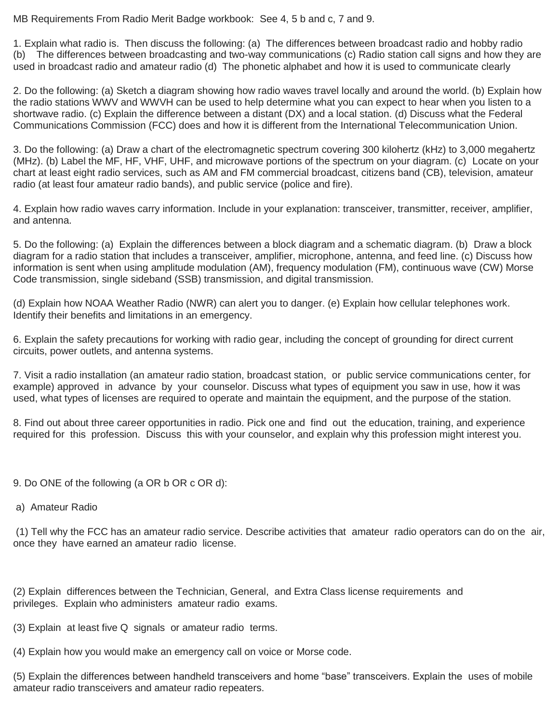MB Requirements From Radio Merit Badge workbook: See 4, 5 b and c, 7 and 9.

1. Explain what radio is. Then discuss the following: (a) The differences between broadcast radio and hobby radio (b) The differences between broadcasting and two-way communications (c) Radio station call signs and how they are used in broadcast radio and amateur radio (d) The phonetic alphabet and how it is used to communicate clearly

2. Do the following: (a) Sketch a diagram showing how radio waves travel locally and around the world. (b) Explain how the radio stations WWV and WWVH can be used to help determine what you can expect to hear when you listen to a shortwave radio. (c) Explain the difference between a distant (DX) and a local station. (d) Discuss what the Federal Communications Commission (FCC) does and how it is different from the International Telecommunication Union.

3. Do the following: (a) Draw a chart of the electromagnetic spectrum covering 300 kilohertz (kHz) to 3,000 megahertz (MHz). (b) Label the MF, HF, VHF, UHF, and microwave portions of the spectrum on your diagram. (c) Locate on your chart at least eight radio services, such as AM and FM commercial broadcast, citizens band (CB), television, amateur radio (at least four amateur radio bands), and public service (police and fire).

4. Explain how radio waves carry information. Include in your explanation: transceiver, transmitter, receiver, amplifier, and antenna.

5. Do the following: (a) Explain the differences between a block diagram and a schematic diagram. (b) Draw a block diagram for a radio station that includes a transceiver, amplifier, microphone, antenna, and feed line. (c) Discuss how information is sent when using amplitude modulation (AM), frequency modulation (FM), continuous wave (CW) Morse Code transmission, single sideband (SSB) transmission, and digital transmission.

(d) Explain how NOAA Weather Radio (NWR) can alert you to danger. (e) Explain how cellular telephones work. Identify their benefits and limitations in an emergency.

6. Explain the safety precautions for working with radio gear, including the concept of grounding for direct current circuits, power outlets, and antenna systems.

7. Visit a radio installation (an amateur radio station, broadcast station, or public service communications center, for example) approved in advance by your counselor. Discuss what types of equipment you saw in use, how it was used, what types of licenses are required to operate and maintain the equipment, and the purpose of the station.

8. Find out about three career opportunities in radio. Pick one and find out the education, training, and experience required for this profession. Discuss this with your counselor, and explain why this profession might interest you.

- 9. Do ONE of the following (a OR b OR c OR d):
- a) Amateur Radio

(1) Tell why the FCC has an amateur radio service. Describe activities that amateur radio operators can do on the air, once they have earned an amateur radio license.

(2) Explain differences between the Technician, General, and Extra Class license requirements and privileges. Explain who administers amateur radio exams.

(3) Explain at least five Q signals or amateur radio terms.

(4) Explain how you would make an emergency call on voice or Morse code.

(5) Explain the differences between handheld transceivers and home "base" transceivers. Explain the uses of mobile amateur radio transceivers and amateur radio repeaters.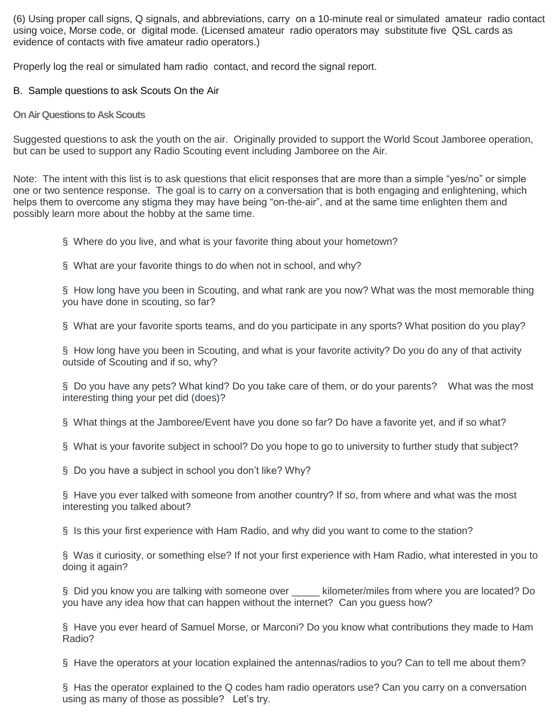(6) Using proper call signs, Q signals, and abbreviations, carry on a 10-minute real or simulated amateur radio contact using voice, Morse code, or digital mode. (Licensed amateur radio operators may substitute five QSL cards as evidence of contacts with five amateur radio operators.)

Properly log the real or simulated ham radio contact, and record the signal report.

### B. Sample questions to ask Scouts On the Air

### **On Air Questions to Ask Scouts**

Suggested questions to ask the youth on the air. Originally provided to support the World Scout Jamboree operation, but can be used to support any Radio Scouting event including Jamboree on the Air.

Note: The intent with this list is to ask questions that elicit responses that are more than a simple "yes/no" or simple one or two sentence response. The goal is to carry on a conversation that is both engaging and enlightening, which helps them to overcome any stigma they may have being "on-the-air", and at the same time enlighten them and possibly learn more about the hobby at the same time.

§ Where do you live, and what is your favorite thing about your hometown?

§ What are your favorite things to do when not in school, and why?

§ How long have you been in Scouting, and what rank are you now? What was the most memorable thing you have done in scouting, so far?

§ What are your favorite sports teams, and do you participate in any sports? What position do you play?

§ How long have you been in Scouting, and what is your favorite activity? Do you do any of that activity outside of Scouting and if so, why?

§ Do you have any pets? What kind? Do you take care of them, or do your parents? What was the most interesting thing your pet did (does)?

§ What things at the Jamboree/Event have you done so far? Do have a favorite yet, and if so what?

§ What is your favorite subject in school? Do you hope to go to university to further study that subject?

§ Do you have a subject in school you don't like? Why?

§ Have you ever talked with someone from another country? If so, from where and what was the most interesting you talked about?

§ Is this your first experience with Ham Radio, and why did you want to come to the station?

§ Was it curiosity, or something else? If not your first experience with Ham Radio, what interested in you to doing it again?

§ Did you know you are talking with someone over \_\_\_\_ kilometer/miles from where you are located? Do you have any idea how that can happen without the internet? Can you guess how?

§ Have you ever heard of Samuel Morse, or Marconi? Do you know what contributions they made to Ham Radio?

§ Have the operators at your location explained the antennas/radios to you? Can to tell me about them?

§ Has the operator explained to the Q codes ham radio operators use? Can you carry on a conversation using as many of those as possible? Let's try.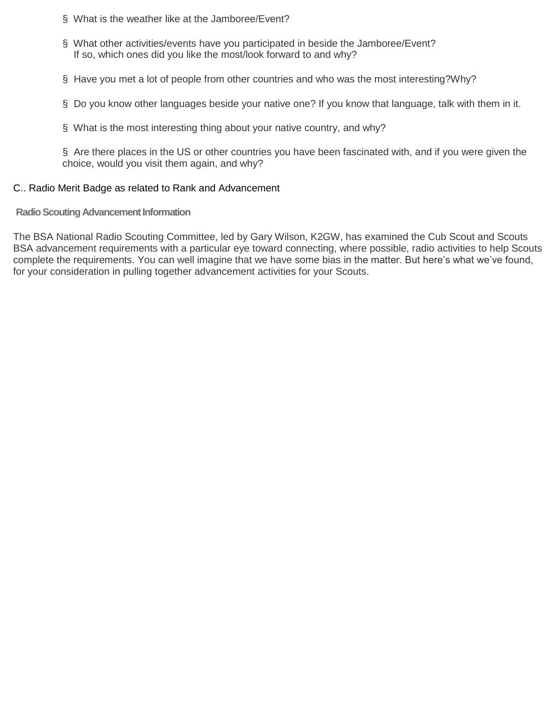- § What is the weather like at the Jamboree/Event?
- § What other activities/events have you participated in beside the Jamboree/Event? If so, which ones did you like the most/look forward to and why?
- § Have you met a lot of people from other countries and who was the most interesting?Why?
- § Do you know other languages beside your native one? If you know that language, talk with them in it.
- § What is the most interesting thing about your native country, and why?

§ Are there places in the US or other countries you have been fascinated with, and if you were given the choice, would you visit them again, and why?

### C.. Radio Merit Badge as related to Rank and Advancement

### **Radio Scouting Advancement Information**

The BSA National Radio Scouting Committee, led by Gary Wilson, K2GW, has examined the Cub Scout and Scouts BSA advancement requirements with a particular eye toward connecting, where possible, radio activities to help Scouts complete the requirements. You can well imagine that we have some bias in the matter. But here's what we've found, for your consideration in pulling together advancement activities for your Scouts.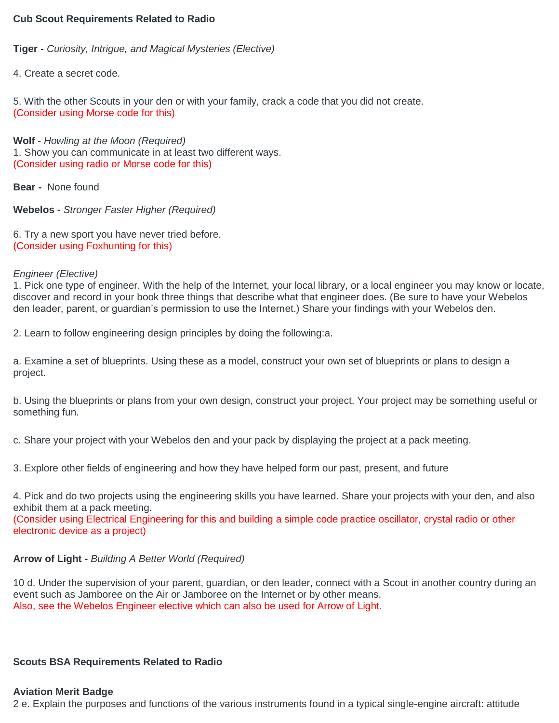### **Cub Scout Requirements Related to Radio**

**Tiger** - *Curiosity, Intrigue, and Magical Mysteries (Elective)*

4. Create a secret code.

5. With the other Scouts in your den or with your family, crack a code that you did not create. (Consider using Morse code for this)

**Wolf -** *Howling at the Moon (Required)* 1. Show you can communicate in at least two different ways. (Consider using radio or Morse code for this)

**Bear -** None found

**Webelos -** *Stronger Faster Higher (Required)*

6. Try a new sport you have never tried before. (Consider using Foxhunting for this)

## *Engineer (Elective)*

1. Pick one type of engineer. With the help of the Internet, your local library, or a local engineer you may know or locate, discover and record in your book three things that describe what that engineer does. (Be sure to have your Webelos den leader, parent, or guardian's permission to use the Internet.) Share your findings with your Webelos den.

2. Learn to follow engineering design principles by doing the following:a.

a. Examine a set of blueprints. Using these as a model, construct your own set of blueprints or plans to design a project.

b. Using the blueprints or plans from your own design, construct your project. Your project may be something useful or something fun.

c. Share your project with your Webelos den and your pack by displaying the project at a pack meeting.

3. Explore other fields of engineering and how they have helped form our past, present, and future

4. Pick and do two projects using the engineering skills you have learned. Share your projects with your den, and also exhibit them at a pack meeting.

(Consider using Electrical Engineering for this and building a simple code practice oscillator, crystal radio or other electronic device as a project)

# **Arrow of Light** - *Building A Better World (Required)*

10 d. Under the supervision of your parent, guardian, or den leader, connect with a Scout in another country during an event such as Jamboree on the Air or Jamboree on the Internet or by other means. Also, see the Webelos Engineer elective which can also be used for Arrow of Light.

# **Scouts BSA Requirements Related to Radio**

# **Aviation Merit Badge**

2 e. Explain the purposes and functions of the various instruments found in a typical single-engine aircraft: attitude